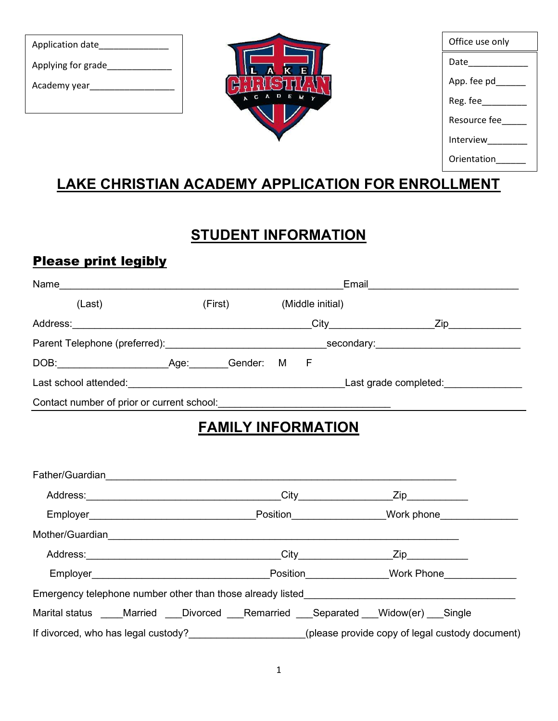| Application date   |  |
|--------------------|--|
| Applying for grade |  |
| Academy year       |  |
|                    |  |



| Office use only |
|-----------------|
| Date            |
| App. fee pd     |
| Reg. fee        |
| Resource fee    |
| Interview       |
| Orientation     |
|                 |

# LAKE CHRISTIAN ACADEMY APPLICATION FOR ENROLLMENT

# **STUDENT INFORMATION**

## Please print legibly

| Name                                       |         |          |                  | Email                   |
|--------------------------------------------|---------|----------|------------------|-------------------------|
| (Last)                                     | (First) |          | (Middle initial) |                         |
| Address:                                   |         |          | City             | Zip                     |
|                                            |         |          |                  | secondary: ____________ |
| DOB: ________<br>Age:                      | Gender: | M<br>– F |                  |                         |
| Last school attended:                      |         |          |                  | Last grade completed:   |
| Contact number of prior or current school: |         |          |                  |                         |

# FAMILY INFORMATION

| Address: City City                                                               | Zip_____________                                    |
|----------------------------------------------------------------------------------|-----------------------------------------------------|
|                                                                                  | _Position__________________Work phone______________ |
|                                                                                  |                                                     |
|                                                                                  |                                                     |
|                                                                                  | Position Mork Phone                                 |
| Emergency telephone number other than those already listed______________________ |                                                     |
| Marital status Married Divorced Remarried Separated Widow(er) Single             |                                                     |
|                                                                                  | (please provide copy of legal custody document)     |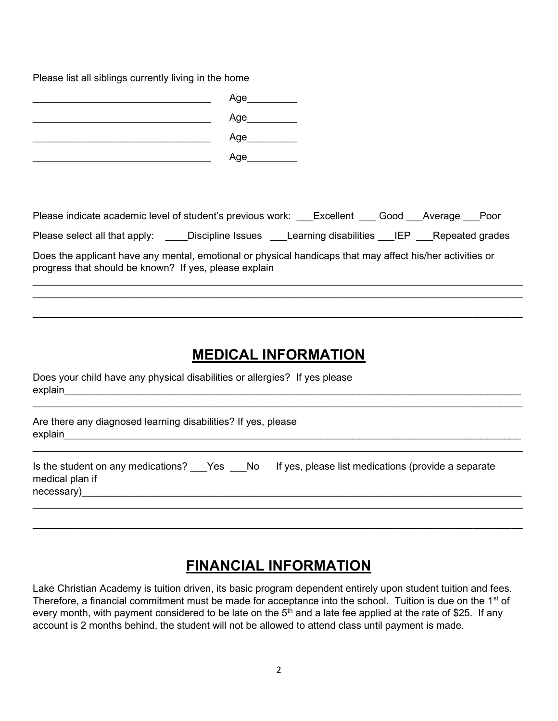Please list all siblings currently living in the home

| Age |
|-----|
| Age |
| Age |
| Age |

Please indicate academic level of student's previous work: \_\_\_Excellent \_\_\_ Good \_\_\_Average \_\_\_ Poor

| Please select all that apply: | Discipline Issues | Learning disabilities ___.∟. |  | _Repeated grades |
|-------------------------------|-------------------|------------------------------|--|------------------|
|-------------------------------|-------------------|------------------------------|--|------------------|

 $\mathcal{L}_\mathcal{L} = \mathcal{L}_\mathcal{L} = \mathcal{L}_\mathcal{L} = \mathcal{L}_\mathcal{L} = \mathcal{L}_\mathcal{L} = \mathcal{L}_\mathcal{L} = \mathcal{L}_\mathcal{L} = \mathcal{L}_\mathcal{L} = \mathcal{L}_\mathcal{L} = \mathcal{L}_\mathcal{L} = \mathcal{L}_\mathcal{L} = \mathcal{L}_\mathcal{L} = \mathcal{L}_\mathcal{L} = \mathcal{L}_\mathcal{L} = \mathcal{L}_\mathcal{L} = \mathcal{L}_\mathcal{L} = \mathcal{L}_\mathcal{L}$  $\_$ 

 $\_$  ,  $\_$  ,  $\_$  ,  $\_$  ,  $\_$  ,  $\_$  ,  $\_$  ,  $\_$  ,  $\_$  ,  $\_$  ,  $\_$  ,  $\_$  ,  $\_$  ,  $\_$  ,  $\_$  ,  $\_$  ,  $\_$  ,  $\_$  ,  $\_$  ,  $\_$  ,  $\_$  ,  $\_$  ,  $\_$  ,  $\_$  ,  $\_$  ,  $\_$  ,  $\_$  ,  $\_$  ,  $\_$  ,  $\_$  ,  $\_$  ,  $\_$  ,  $\_$  ,  $\_$  ,  $\_$  ,  $\_$  ,  $\_$  ,

Does the applicant have any mental, emotional or physical handicaps that may affect his/her activities or progress that should be known? If yes, please explain

#### MEDICAL INFORMATION

Does your child have any physical disabilities or allergies? If yes please explain\_\_\_\_\_\_\_\_\_\_\_\_\_\_\_\_\_\_\_\_\_\_\_\_\_\_\_\_\_\_\_\_\_\_\_\_\_\_\_\_\_\_\_\_\_\_\_\_\_\_\_\_\_\_\_\_\_\_\_\_\_\_\_\_\_\_\_\_\_\_\_\_\_\_\_\_\_\_\_\_\_\_

| Are there any diagnosed learning disabilities? If yes, please |
|---------------------------------------------------------------|
| explain                                                       |
|                                                               |

 $\_$ 

| Is the student on any medications? ___Yes ___No |  | If yes, please list medications (provide a separate |
|-------------------------------------------------|--|-----------------------------------------------------|
| medical plan if                                 |  |                                                     |
| necessary)                                      |  |                                                     |

### FINANCIAL INFORMATION

 $\_$  ,  $\_$  ,  $\_$  ,  $\_$  ,  $\_$  ,  $\_$  ,  $\_$  ,  $\_$  ,  $\_$  ,  $\_$  ,  $\_$  ,  $\_$  ,  $\_$  ,  $\_$  ,  $\_$  ,  $\_$  ,  $\_$  ,  $\_$  ,  $\_$  ,  $\_$  ,  $\_$  ,  $\_$  ,  $\_$  ,  $\_$  ,  $\_$  ,  $\_$  ,  $\_$  ,  $\_$  ,  $\_$  ,  $\_$  ,  $\_$  ,  $\_$  ,  $\_$  ,  $\_$  ,  $\_$  ,  $\_$  ,  $\_$  ,

Lake Christian Academy is tuition driven, its basic program dependent entirely upon student tuition and fees. Therefore, a financial commitment must be made for acceptance into the school. Tuition is due on the 1<sup>st</sup> of every month, with payment considered to be late on the 5<sup>th</sup> and a late fee applied at the rate of \$25. If any account is 2 months behind, the student will not be allowed to attend class until payment is made.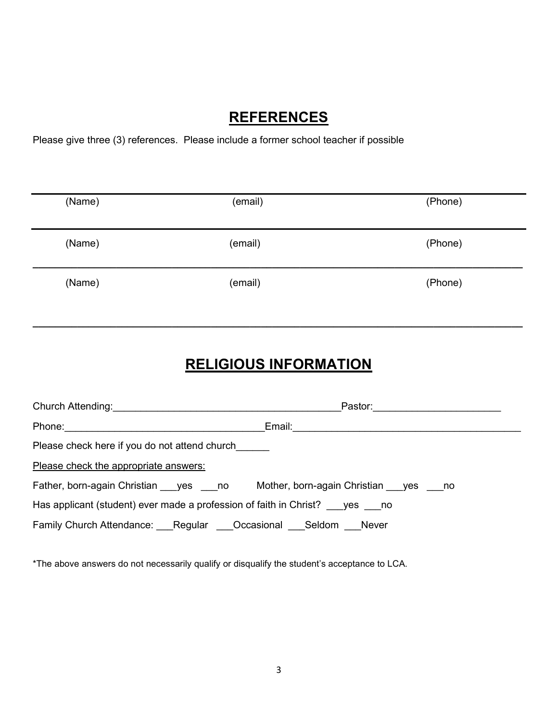#### **REFERENCES**

Please give three (3) references. Please include a former school teacher if possible

| (Name) | (email) | (Phone) |
|--------|---------|---------|
| (Name) | (email) | (Phone) |
| (Name) | (email) | (Phone) |

# RELIGIOUS INFORMATION

 $\_$  ,  $\_$  ,  $\_$  ,  $\_$  ,  $\_$  ,  $\_$  ,  $\_$  ,  $\_$  ,  $\_$  ,  $\_$  ,  $\_$  ,  $\_$  ,  $\_$  ,  $\_$  ,  $\_$  ,  $\_$  ,  $\_$  ,  $\_$  ,  $\_$  ,  $\_$  ,  $\_$  ,  $\_$  ,  $\_$  ,  $\_$  ,  $\_$  ,  $\_$  ,  $\_$  ,  $\_$  ,  $\_$  ,  $\_$  ,  $\_$  ,  $\_$  ,  $\_$  ,  $\_$  ,  $\_$  ,  $\_$  ,  $\_$  ,

|                                               |                                                                           | Pastor: _____________________ |
|-----------------------------------------------|---------------------------------------------------------------------------|-------------------------------|
| Phone:                                        | Email:                                                                    |                               |
| Please check here if you do not attend church |                                                                           |                               |
| Please check the appropriate answers:         |                                                                           |                               |
| Father, born-again Christian yes no           | Mother, born-again Christian ___ yes ___ no                               |                               |
|                                               | Has applicant (student) ever made a profession of faith in Christ? yes no |                               |
|                                               | Family Church Attendance: Regular  Occasional  Seldom  Never              |                               |

\*The above answers do not necessarily qualify or disqualify the student's acceptance to LCA.